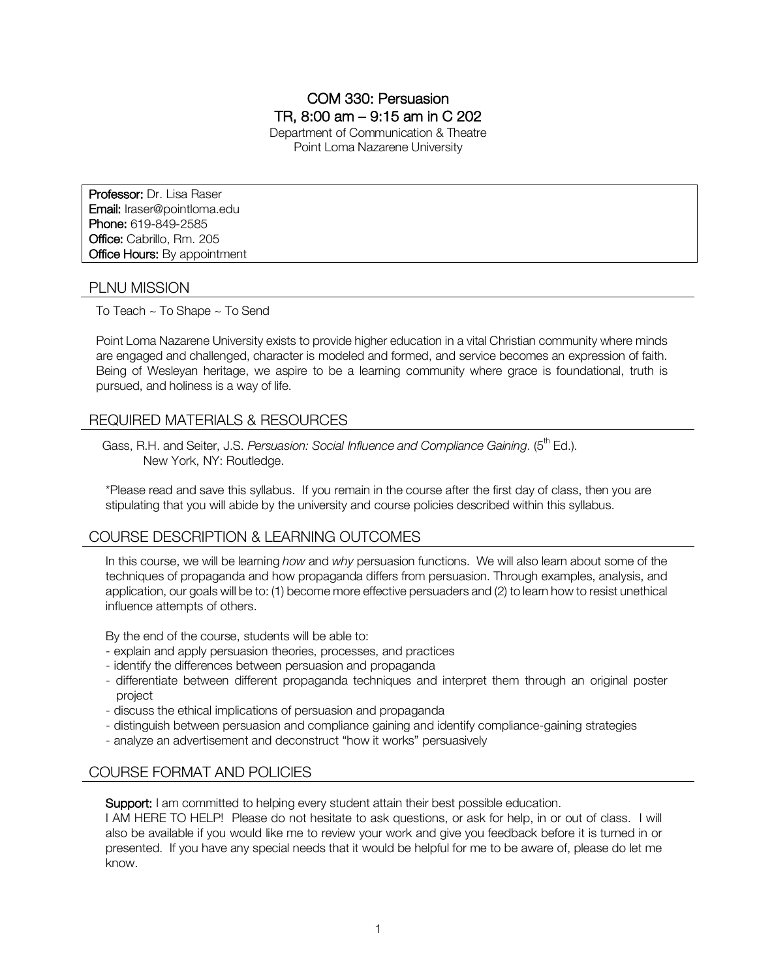# COM 330: Persuasion TR, 8:00 am – 9:15 am in C 202

Department of Communication & Theatre Point Loma Nazarene University

Professor: Dr. Lisa Raser Email: lraser@pointloma.edu Phone: 619-849-2585 Office: Cabrillo, Rm. 205 **Office Hours: By appointment** 

## PLNU MISSION

To Teach ~ To Shape ~ To Send

Point Loma Nazarene University exists to provide higher education in a vital Christian community where minds are engaged and challenged, character is modeled and formed, and service becomes an expression of faith. Being of Wesleyan heritage, we aspire to be a learning community where grace is foundational, truth is pursued, and holiness is a way of life.

# REQUIRED MATERIALS & RESOURCES

Gass, R.H. and Seiter, J.S. *Persuasion: Social Influence and Compliance Gaining.* (5<sup>th</sup> Ed.). New York, NY: Routledge.

\*Please read and save this syllabus. If you remain in the course after the first day of class, then you are stipulating that you will abide by the university and course policies described within this syllabus.

## COURSE DESCRIPTION & LEARNING OUTCOMES

In this course, we will be learning *how* and *why* persuasion functions. We will also learn about some of the techniques of propaganda and how propaganda differs from persuasion. Through examples, analysis, and application, our goals will be to: (1) become more effective persuaders and (2) to learn how to resist unethical influence attempts of others.

By the end of the course, students will be able to:

- explain and apply persuasion theories, processes, and practices
- identify the differences between persuasion and propaganda
- differentiate between different propaganda techniques and interpret them through an original poster project
- discuss the ethical implications of persuasion and propaganda
- distinguish between persuasion and compliance gaining and identify compliance-gaining strategies
- analyze an advertisement and deconstruct "how it works" persuasively

# COURSE FORMAT AND POLICIES

Support: I am committed to helping every student attain their best possible education.

I AM HERE TO HELP! Please do not hesitate to ask questions, or ask for help, in or out of class. I will also be available if you would like me to review your work and give you feedback before it is turned in or presented. If you have any special needs that it would be helpful for me to be aware of, please do let me know.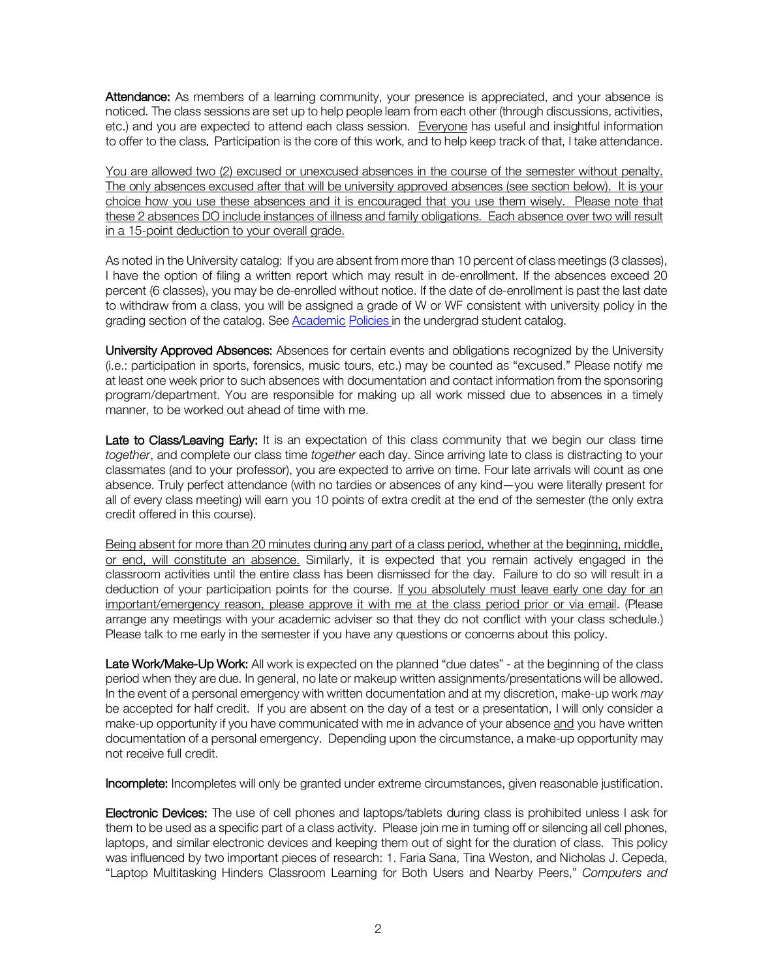Attendance: As members of a learning community, your presence is appreciated, and your absence is noticed. The class sessions are set up to help people learn from each other (through discussions, activities, etc.) and you are expected to attend each class session. Everyone has useful and insightful information to offer to the class. Participation is the core of this work, and to help keep track of that, I take attendance.

You are allowed two (2) excused or unexcused absences in the course of the semester without penalty. The only absences excused after that will be university approved absences (see section below). It is your choice how you use these absences and it is encouraged that you use them wisely. Please note that these 2 absences DO include instances of illness and family obligations. Each absence over two will result in a 15-point deduction to your overall grade.

As noted in the University catalog: If you are absent from more than 10 percent of class meetings (3 classes), I have the option of filing a written report which may result in de-enrollment. If the absences exceed 20 percent (6 classes), you may be de-enrolled without notice. If the date of de-enrollment is past the last date to withdraw from a class, you will be assigned a grade of W or WF consistent with university policy in the grading section of the catalog. See Academic Policies in the undergrad student catalog.

University Approved Absences: Absences for certain events and obligations recognized by the University (i.e.: participation in sports, forensics, music tours, etc.) may be counted as "excused." Please notify me at least one week prior to such absences with documentation and contact information from the sponsoring program/department. You are responsible for making up all work missed due to absences in a timely manner, to be worked out ahead of time with me.

Late to Class/Leaving Early: It is an expectation of this class community that we begin our class time *together*, and complete our class time *together* each day. Since arriving late to class is distracting to your classmates (and to your professor), you are expected to arrive on time. Four late arrivals will count as one absence. Truly perfect attendance (with no tardies or absences of any kind—you were literally present for all of every class meeting) will earn you 10 points of extra credit at the end of the semester (the only extra credit offered in this course).

Being absent for more than 20 minutes during any part of a class period, whether at the beginning, middle, or end, will constitute an absence. Similarly, it is expected that you remain actively engaged in the classroom activities until the entire class has been dismissed for the day. Failure to do so will result in a deduction of your participation points for the course. If you absolutely must leave early one day for an important/emergency reason, please approve it with me at the class period prior or via email. (Please arrange any meetings with your academic adviser so that they do not conflict with your class schedule.) Please talk to me early in the semester if you have any questions or concerns about this policy.

Late Work/Make-Up Work: All work is expected on the planned "due dates" - at the beginning of the class period when they are due. In general, no late or makeup written assignments/presentations will be allowed. In the event of a personal emergency with written documentation and at my discretion, make-up work *may* be accepted for half credit. If you are absent on the day of a test or a presentation, I will only consider a make-up opportunity if you have communicated with me in advance of your absence and you have written documentation of a personal emergency. Depending upon the circumstance, a make-up opportunity may not receive full credit.

Incomplete: Incompletes will only be granted under extreme circumstances, given reasonable justification.

Electronic Devices: The use of cell phones and laptops/tablets during class is prohibited unless I ask for them to be used as a specific part of a class activity. Please join me in turning off or silencing all cell phones, laptops, and similar electronic devices and keeping them out of sight for the duration of class. This policy was influenced by two important pieces of research: 1. Faria Sana, Tina Weston, and Nicholas J. Cepeda, "Laptop Multitasking Hinders Classroom Learning for Both Users and Nearby Peers," *Computers and*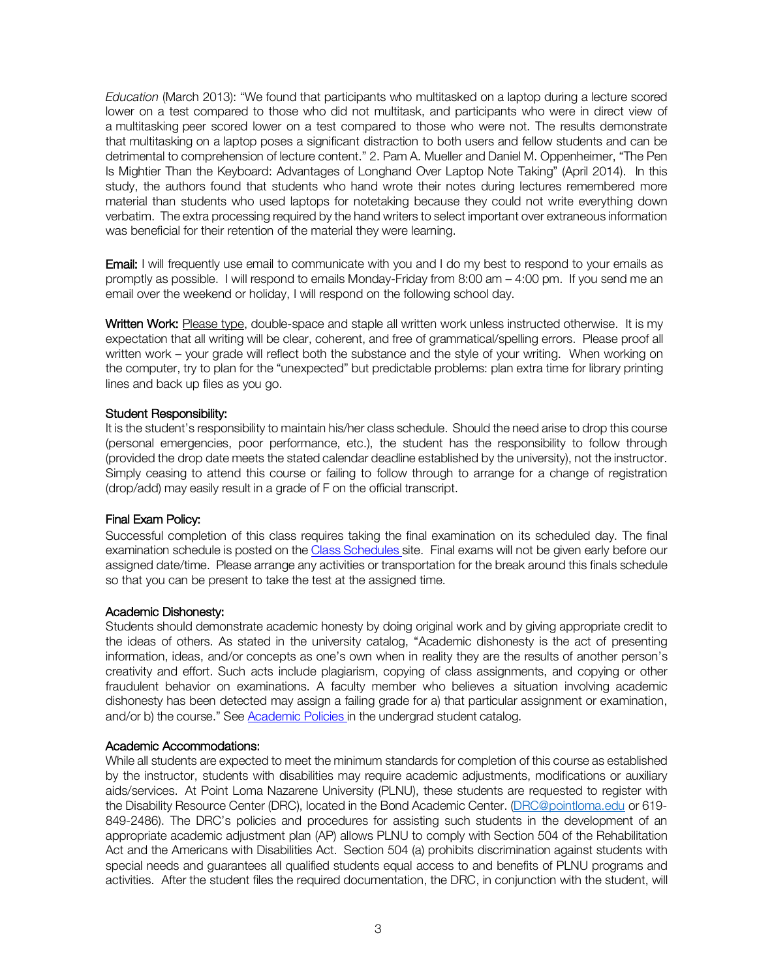*Education* (March 2013): "We found that participants who multitasked on a laptop during a lecture scored lower on a test compared to those who did not multitask, and participants who were in direct view of a multitasking peer scored lower on a test compared to those who were not. The results demonstrate that multitasking on a laptop poses a significant distraction to both users and fellow students and can be detrimental to comprehension of lecture content." 2. Pam A. Mueller and Daniel M. Oppenheimer, "The Pen Is Mightier Than the Keyboard: Advantages of Longhand Over Laptop Note Taking" (April 2014). In this study, the authors found that students who hand wrote their notes during lectures remembered more material than students who used laptops for notetaking because they could not write everything down verbatim. The extra processing required by the hand writers to select important over extraneous information was beneficial for their retention of the material they were learning.

Email: I will frequently use email to communicate with you and I do my best to respond to your emails as promptly as possible. I will respond to emails Monday-Friday from 8:00 am – 4:00 pm. If you send me an email over the weekend or holiday, I will respond on the following school day.

Written Work: Please type, double-space and staple all written work unless instructed otherwise. It is my expectation that all writing will be clear, coherent, and free of grammatical/spelling errors. Please proof all written work – your grade will reflect both the substance and the style of your writing. When working on the computer, try to plan for the "unexpected" but predictable problems: plan extra time for library printing lines and back up files as you go.

#### Student Responsibility:

It is the student's responsibility to maintain his/her class schedule. Should the need arise to drop this course (personal emergencies, poor performance, etc.), the student has the responsibility to follow through (provided the drop date meets the stated calendar deadline established by the university), not the instructor. Simply ceasing to attend this course or failing to follow through to arrange for a change of registration (drop/add) may easily result in a grade of F on the official transcript.

#### Final Exam Policy:

Successful completion of this class requires taking the final examination on its scheduled day. The final examination schedule is posted on the Class Schedules site. Final exams will not be given early before our assigned date/time. Please arrange any activities or transportation for the break around this finals schedule so that you can be present to take the test at the assigned time.

#### Academic Dishonesty:

Students should demonstrate academic honesty by doing original work and by giving appropriate credit to the ideas of others. As stated in the university catalog, "Academic dishonesty is the act of presenting information, ideas, and/or concepts as one's own when in reality they are the results of another person's creativity and effort. Such acts include plagiarism, copying of class assignments, and copying or other fraudulent behavior on examinations. A faculty member who believes a situation involving academic dishonesty has been detected may assign a failing grade for a) that particular assignment or examination, and/or b) the course." See Academic Policies in the undergrad student catalog.

#### Academic Accommodations:

While all students are expected to meet the minimum standards for completion of this course as established by the instructor, students with disabilities may require academic adjustments, modifications or auxiliary aids/services. At Point Loma Nazarene University (PLNU), these students are requested to register with the Disability Resource Center (DRC), located in the Bond Academic Center. (DRC@pointloma.edu or 619- 849-2486). The DRC's policies and procedures for assisting such students in the development of an appropriate academic adjustment plan (AP) allows PLNU to comply with Section 504 of the Rehabilitation Act and the Americans with Disabilities Act. Section 504 (a) prohibits discrimination against students with special needs and guarantees all qualified students equal access to and benefits of PLNU programs and activities. After the student files the required documentation, the DRC, in conjunction with the student, will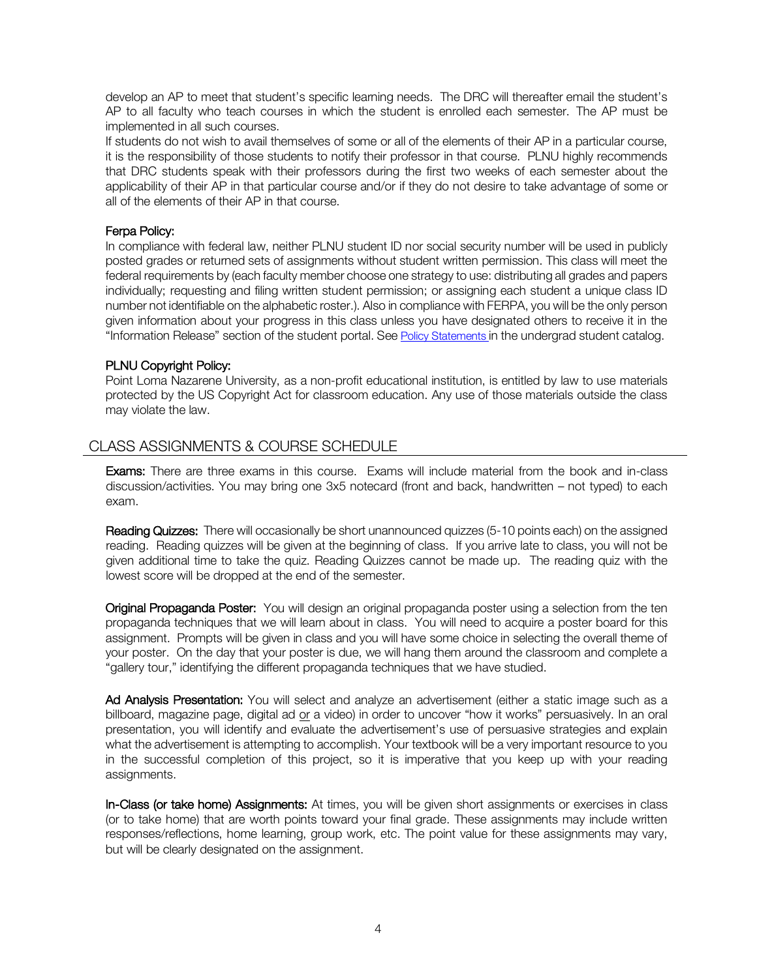develop an AP to meet that student's specific learning needs. The DRC will thereafter email the student's AP to all faculty who teach courses in which the student is enrolled each semester. The AP must be implemented in all such courses.

If students do not wish to avail themselves of some or all of the elements of their AP in a particular course, it is the responsibility of those students to notify their professor in that course. PLNU highly recommends that DRC students speak with their professors during the first two weeks of each semester about the applicability of their AP in that particular course and/or if they do not desire to take advantage of some or all of the elements of their AP in that course.

### Ferpa Policy:

In compliance with federal law, neither PLNU student ID nor social security number will be used in publicly posted grades or returned sets of assignments without student written permission. This class will meet the federal requirements by (each faculty member choose one strategy to use: distributing all grades and papers individually; requesting and filing written student permission; or assigning each student a unique class ID number not identifiable on the alphabetic roster.). Also in compliance with FERPA, you will be the only person given information about your progress in this class unless you have designated others to receive it in the "Information Release" section of the student portal. See Policy Statements in the undergrad student catalog.

### PLNU Copyright Policy:

Point Loma Nazarene University, as a non-profit educational institution, is entitled by law to use materials protected by the US Copyright Act for classroom education. Any use of those materials outside the class may violate the law.

## CLASS ASSIGNMENTS & COURSE SCHEDULE

**Exams:** There are three exams in this course. Exams will include material from the book and in-class discussion/activities. You may bring one 3x5 notecard (front and back, handwritten – not typed) to each exam.

Reading Quizzes: There will occasionally be short unannounced quizzes (5-10 points each) on the assigned reading. Reading quizzes will be given at the beginning of class. If you arrive late to class, you will not be given additional time to take the quiz. Reading Quizzes cannot be made up. The reading quiz with the lowest score will be dropped at the end of the semester.

Original Propaganda Poster: You will design an original propaganda poster using a selection from the ten propaganda techniques that we will learn about in class. You will need to acquire a poster board for this assignment. Prompts will be given in class and you will have some choice in selecting the overall theme of your poster. On the day that your poster is due, we will hang them around the classroom and complete a "gallery tour," identifying the different propaganda techniques that we have studied.

Ad Analysis Presentation: You will select and analyze an advertisement (either a static image such as a billboard, magazine page, digital ad or a video) in order to uncover "how it works" persuasively. In an oral presentation, you will identify and evaluate the advertisement's use of persuasive strategies and explain what the advertisement is attempting to accomplish. Your textbook will be a very important resource to you in the successful completion of this project, so it is imperative that you keep up with your reading assignments.

In-Class (or take home) Assignments: At times, you will be given short assignments or exercises in class (or to take home) that are worth points toward your final grade. These assignments may include written responses/reflections, home learning, group work, etc. The point value for these assignments may vary, but will be clearly designated on the assignment.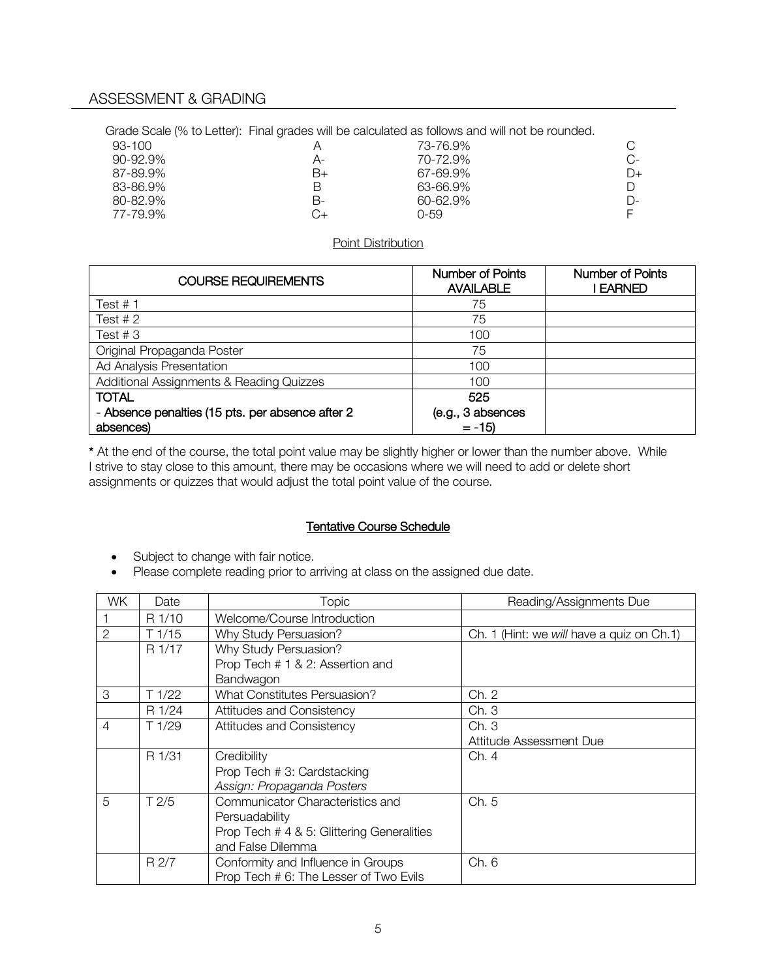Grade Scale (% to Letter): Final grades will be calculated as follows and will not be rounded.

| 93-100        |    | 73-76.9%     |    |
|---------------|----|--------------|----|
| $90 - 92.9\%$ | А- | 70-72.9%     | C- |
| 87-89.9%      | B+ | 67-69.9%     | D+ |
| 83-86.9%      | В  | 63-66.9%     |    |
| 80-82.9%      | В- | $60 - 62.9%$ | D- |
| 77-79.9%      | G+ | 0-59.        |    |
|               |    |              |    |

#### Point Distribution

| <b>COURSE REQUIREMENTS</b>                       | <b>Number of Points</b><br><b>AVAILABLE</b> | <b>Number of Points</b><br>I EARNED |
|--------------------------------------------------|---------------------------------------------|-------------------------------------|
| Test $# 1$                                       | 75                                          |                                     |
| Test $# 2$                                       | 75                                          |                                     |
| Test #3                                          | 100                                         |                                     |
| Original Propaganda Poster                       | 75                                          |                                     |
| Ad Analysis Presentation                         | 100                                         |                                     |
| Additional Assignments & Reading Quizzes         | 100                                         |                                     |
| <b>TOTAL</b>                                     | 525                                         |                                     |
| - Absence penalties (15 pts. per absence after 2 | (e.g., 3 absences                           |                                     |
| absences)                                        | $= -15$                                     |                                     |

\* At the end of the course, the total point value may be slightly higher or lower than the number above. While I strive to stay close to this amount, there may be occasions where we will need to add or delete short assignments or quizzes that would adjust the total point value of the course.

## Tentative Course Schedule

- Subject to change with fair notice.
- Please complete reading prior to arriving at class on the assigned due date.

| WK.            | Date   | Topic                                      | Reading/Assignments Due                    |
|----------------|--------|--------------------------------------------|--------------------------------------------|
|                | R 1/10 | Welcome/Course Introduction                |                                            |
| $\overline{2}$ | T1/15  | Why Study Persuasion?                      | Ch. 1 (Hint: we will have a quiz on Ch. 1) |
|                | R 1/17 | Why Study Persuasion?                      |                                            |
|                |        | Prop Tech # 1 & 2: Assertion and           |                                            |
|                |        | Bandwagon                                  |                                            |
| 3              | T1/22  | What Constitutes Persuasion?               | Ch. 2                                      |
|                | R 1/24 | Attitudes and Consistency                  | Ch.3                                       |
| $\overline{4}$ | T1/29  | Attitudes and Consistency                  | Ch.3                                       |
|                |        |                                            | Attitude Assessment Due                    |
|                | R 1/31 | Credibility                                | Ch. 4                                      |
|                |        | Prop Tech # 3: Cardstacking                |                                            |
|                |        | Assign: Propaganda Posters                 |                                            |
| 5              | T2/5   | Communicator Characteristics and           | Ch. 5                                      |
|                |        | Persuadability                             |                                            |
|                |        | Prop Tech # 4 & 5: Glittering Generalities |                                            |
|                |        | and False Dilemma                          |                                            |
|                | R 2/7  | Conformity and Influence in Groups         | Ch. 6                                      |
|                |        | Prop Tech # 6: The Lesser of Two Evils     |                                            |